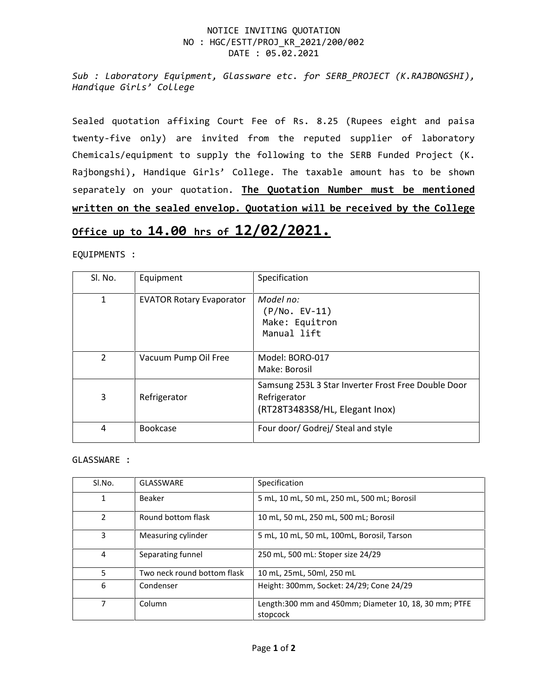## NOTICE INVITING QUOTATION NO : HGC/ESTT/PROJ\_KR\_2021/200/002 DATE : 05.02.2021

*Sub : Laboratory Equipment, Glassware etc. for SERB\_PROJECT (K.RAJBONGSHI), Handique Girls' College*

Sealed quotation affixing Court Fee of Rs. 8.25 (Rupees eight and paisa twenty-five only) are invited from the reputed supplier of laboratory Chemicals/equipment to supply the following to the SERB Funded Project (K. Rajbongshi), Handique Girls' College. The taxable amount has to be shown separately on your quotation. **The Quotation Number must be mentioned written on the sealed envelop. Quotation will be received by the College**

## **Office up to 14.00 hrs of 12/02/2021.**

EQUIPMENTS :

| Sl. No.       | Equipment                       | Specification                                                                                         |
|---------------|---------------------------------|-------------------------------------------------------------------------------------------------------|
| $\mathbf{1}$  | <b>EVATOR Rotary Evaporator</b> | Model no:<br>$(P/No. EV-11)$<br>Make: Equitron<br>Manual lift                                         |
| $\mathcal{P}$ | Vacuum Pump Oil Free            | Model: BORO-017<br>Make: Borosil                                                                      |
| 3             | Refrigerator                    | Samsung 253L 3 Star Inverter Frost Free Double Door<br>Refrigerator<br>(RT28T3483S8/HL, Elegant Inox) |
| 4             | Bookcase                        | Four door/ Godrej/ Steal and style                                                                    |

GLASSWARE :

| Sl.No.        | GLASSWARE                   | Specification                                                     |
|---------------|-----------------------------|-------------------------------------------------------------------|
| 1             | Beaker                      | 5 mL, 10 mL, 50 mL, 250 mL, 500 mL; Borosil                       |
| $\mathcal{P}$ | Round bottom flask          | 10 mL, 50 mL, 250 mL, 500 mL; Borosil                             |
| 3             | Measuring cylinder          | 5 mL, 10 mL, 50 mL, 100mL, Borosil, Tarson                        |
| 4             | Separating funnel           | 250 mL, 500 mL: Stoper size 24/29                                 |
| 5.            | Two neck round bottom flask | 10 mL, 25mL, 50ml, 250 mL                                         |
| 6             | Condenser                   | Height: 300mm, Socket: 24/29; Cone 24/29                          |
| 7             | Column                      | Length:300 mm and 450mm; Diameter 10, 18, 30 mm; PTFE<br>stopcock |